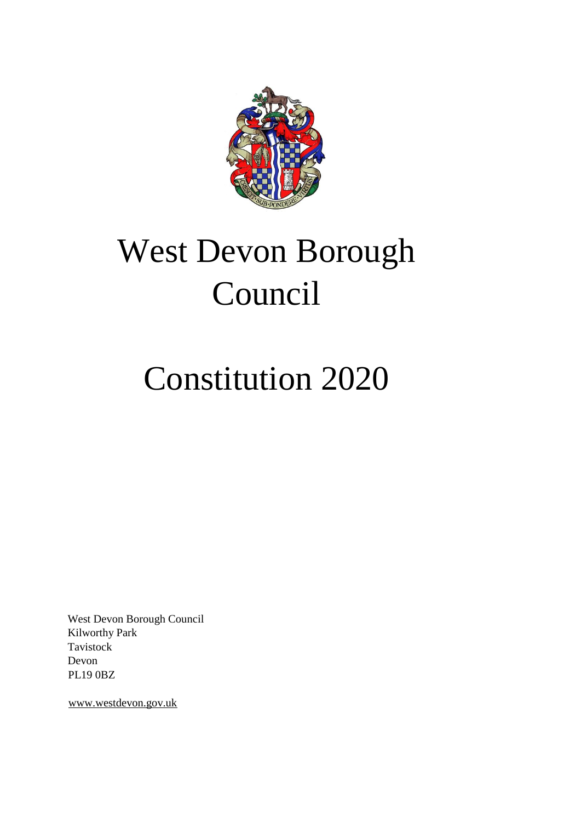

# West Devon Borough Council

### Constitution 2020

West Devon Borough Council Kilworthy Park Tavistock Devon PL19 0BZ

www.westdevon.gov.uk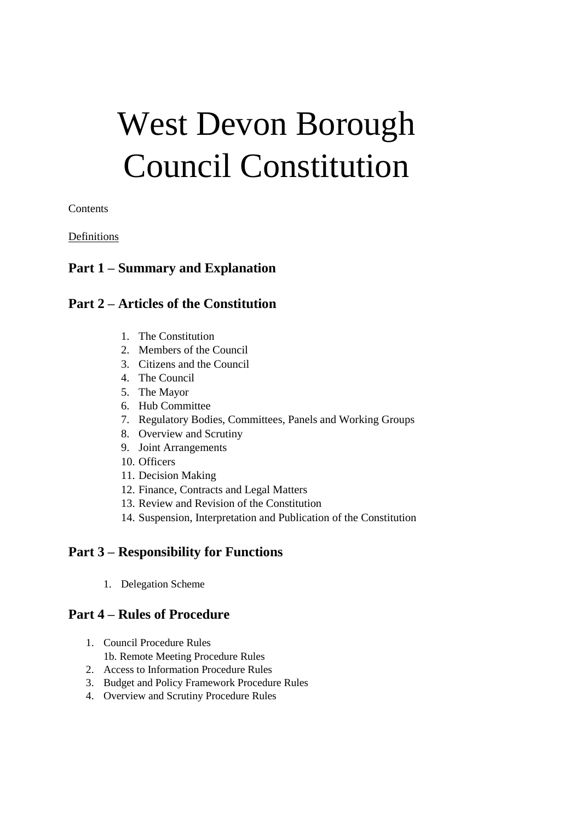## West Devon Borough Council Constitution

Contents

#### Definitions

### **Part 1 – Summary and Explanation**

#### **Part 2 – Articles of the Constitution**

- 1. The Constitution
- 2. Members of the Council
- 3. Citizens and the Council
- 4. The Council
- 5. The Mayor
- 6. Hub Committee
- 7. Regulatory Bodies, Committees, Panels and Working Groups
- 8. Overview and Scrutiny
- 9. Joint Arrangements
- 10. Officers
- 11. Decision Making
- 12. Finance, Contracts and Legal Matters
- 13. Review and Revision of the Constitution
- 14. Suspension, Interpretation and Publication of the Constitution

#### **Part 3 – Responsibility for Functions**

1. Delegation Scheme

#### **Part 4 – Rules of Procedure**

- 1. Council Procedure Rules 1b. Remote Meeting Procedure Rules
- 2. Access to Information Procedure Rules
- 3. Budget and Policy Framework Procedure Rules
- 4. Overview and Scrutiny Procedure Rules